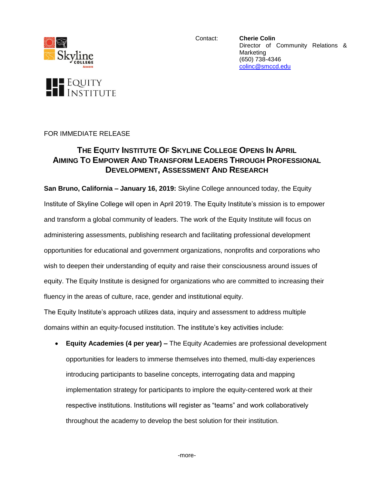

Contact: **Cherie Colin** Director of Community Relations & Marketing (650) 738-4346 [colinc@smccd.edu](mailto:colinc@smccd.edu)



## **THE EQUITY INSTITUTE OF SKYLINE COLLEGE OPENS IN APRIL AIMING TO EMPOWER AND TRANSFORM LEADERS THROUGH PROFESSIONAL DEVELOPMENT, ASSESSMENT AND RESEARCH**

**San Bruno, California – January 16, 2019:** Skyline College announced today, the Equity Institute of Skyline College will open in April 2019. The Equity Institute's mission is to empower and transform a global community of leaders. The work of the Equity Institute will focus on administering assessments, publishing research and facilitating professional development opportunities for educational and government organizations, nonprofits and corporations who wish to deepen their understanding of equity and raise their consciousness around issues of equity. The Equity Institute is designed for organizations who are committed to increasing their fluency in the areas of culture, race, gender and institutional equity.

The Equity Institute's approach utilizes data, inquiry and assessment to address multiple domains within an equity-focused institution. The institute's key activities include:

 **Equity Academies (4 per year) –** The Equity Academies are professional development opportunities for leaders to immerse themselves into themed, multi-day experiences introducing participants to baseline concepts, interrogating data and mapping implementation strategy for participants to implore the equity-centered work at their respective institutions. Institutions will register as "teams" and work collaboratively throughout the academy to develop the best solution for their institution.